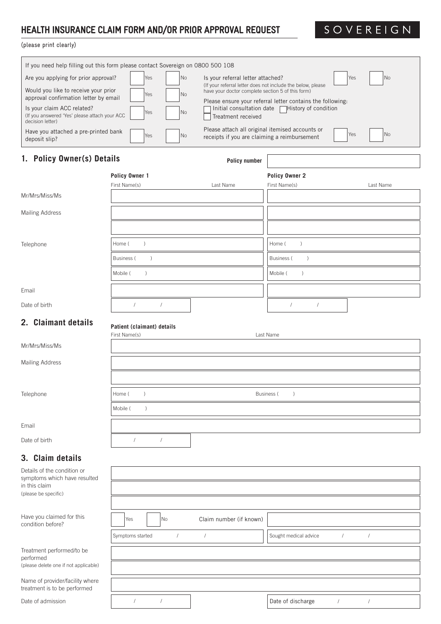# HEALTH INSURANCE CLAIM FORM AND/OR PRIOR APPROVAL REQUEST

SOVEREIGN

# (please print clearly)

| (please print clearly)                                                                                                                                |                                                                                 |                                                                                                                  |                                                                                                                |  |  |  |
|-------------------------------------------------------------------------------------------------------------------------------------------------------|---------------------------------------------------------------------------------|------------------------------------------------------------------------------------------------------------------|----------------------------------------------------------------------------------------------------------------|--|--|--|
|                                                                                                                                                       | If you need help filling out this form please contact Sovereign on 0800 500 108 |                                                                                                                  |                                                                                                                |  |  |  |
| Are you applying for prior approval?                                                                                                                  | No<br>Yes                                                                       | Is your referral letter attached?                                                                                | No<br>Yes                                                                                                      |  |  |  |
| Would you like to receive your prior                                                                                                                  | Yes<br>No                                                                       | (If your referral letter does not include the below, please<br>have your doctor complete section 5 of this form) |                                                                                                                |  |  |  |
| approval confirmation letter by email<br>Is your claim ACC related?<br>Yes<br>No<br>(If you answered 'Yes' please attach your ACC<br>decision letter) |                                                                                 | Treatment received                                                                                               | Please ensure your referral letter contains the following:<br>Initial consultation date   History of condition |  |  |  |
| Have you attached a pre-printed bank<br>deposit slip?                                                                                                 | Yes<br>No                                                                       | Please attach all original itemised accounts or<br>receipts if you are claiming a reimbursement                  | <b>No</b><br>Yes                                                                                               |  |  |  |
| 1. Policy Owner(s) Details                                                                                                                            |                                                                                 | <b>Policy number</b>                                                                                             |                                                                                                                |  |  |  |
|                                                                                                                                                       | Policy Owner 1                                                                  |                                                                                                                  | Policy Owner 2                                                                                                 |  |  |  |
|                                                                                                                                                       | First Name(s)                                                                   | Last Name                                                                                                        | First Name(s)<br>Last Name                                                                                     |  |  |  |
| Mr/Mrs/Miss/Ms                                                                                                                                        |                                                                                 |                                                                                                                  |                                                                                                                |  |  |  |
| Mailing Address                                                                                                                                       |                                                                                 |                                                                                                                  |                                                                                                                |  |  |  |
|                                                                                                                                                       |                                                                                 |                                                                                                                  |                                                                                                                |  |  |  |
| Telephone                                                                                                                                             | $\lambda$<br>Home (                                                             |                                                                                                                  | Home (<br>$\lambda$                                                                                            |  |  |  |
|                                                                                                                                                       | Business (<br>$\mathcal{E}$                                                     |                                                                                                                  | Business (<br>$\left( \right)$                                                                                 |  |  |  |
|                                                                                                                                                       | Mobile (<br>$\lambda$                                                           |                                                                                                                  | Mobile (<br>$\lambda$                                                                                          |  |  |  |
| Email                                                                                                                                                 |                                                                                 |                                                                                                                  |                                                                                                                |  |  |  |
| Date of birth                                                                                                                                         | $\sqrt{2}$<br>$\sqrt{2}$                                                        |                                                                                                                  | $\prime$<br>$\prime$                                                                                           |  |  |  |
| 2. Claimant details                                                                                                                                   |                                                                                 |                                                                                                                  |                                                                                                                |  |  |  |
|                                                                                                                                                       | Patient (claimant) details<br>First Name(s)                                     |                                                                                                                  | Last Name                                                                                                      |  |  |  |
| Mr/Mrs/Miss/Ms                                                                                                                                        |                                                                                 |                                                                                                                  |                                                                                                                |  |  |  |
| Mailing Address                                                                                                                                       |                                                                                 |                                                                                                                  |                                                                                                                |  |  |  |
|                                                                                                                                                       |                                                                                 |                                                                                                                  |                                                                                                                |  |  |  |
|                                                                                                                                                       |                                                                                 |                                                                                                                  |                                                                                                                |  |  |  |
| Telephone                                                                                                                                             | Home (<br>$\lambda$                                                             |                                                                                                                  | Business (<br>$\lambda$                                                                                        |  |  |  |
|                                                                                                                                                       | Mobile (<br>$\left( \right)$                                                    |                                                                                                                  |                                                                                                                |  |  |  |
| Email                                                                                                                                                 |                                                                                 |                                                                                                                  |                                                                                                                |  |  |  |
| Date of birth                                                                                                                                         | $\sqrt{2}$<br>$\sqrt{ }$                                                        |                                                                                                                  |                                                                                                                |  |  |  |
| 3. Claim details                                                                                                                                      |                                                                                 |                                                                                                                  |                                                                                                                |  |  |  |
| Details of the condition or<br>symptoms which have resulted<br>in this claim                                                                          |                                                                                 |                                                                                                                  |                                                                                                                |  |  |  |
| (please be specific)                                                                                                                                  |                                                                                 |                                                                                                                  |                                                                                                                |  |  |  |
| Have you claimed for this                                                                                                                             | Yes<br>No                                                                       | Claim number (if known)                                                                                          |                                                                                                                |  |  |  |
| condition before?                                                                                                                                     |                                                                                 |                                                                                                                  |                                                                                                                |  |  |  |
|                                                                                                                                                       | Symptoms started<br>$\sqrt{2}$                                                  | $\sqrt{2}$                                                                                                       | Sought medical advice<br>$\sqrt{2}$<br>$\sqrt{2}$                                                              |  |  |  |
| Treatment performed/to be<br>performed                                                                                                                |                                                                                 |                                                                                                                  |                                                                                                                |  |  |  |
| (please delete one if not applicable)                                                                                                                 |                                                                                 |                                                                                                                  |                                                                                                                |  |  |  |

Date of discharge  $/$  /

Name of provider/facility where treatment is to be performed

Date of admission and the set of admission and the set of admission and the set of  $\frac{1}{2}$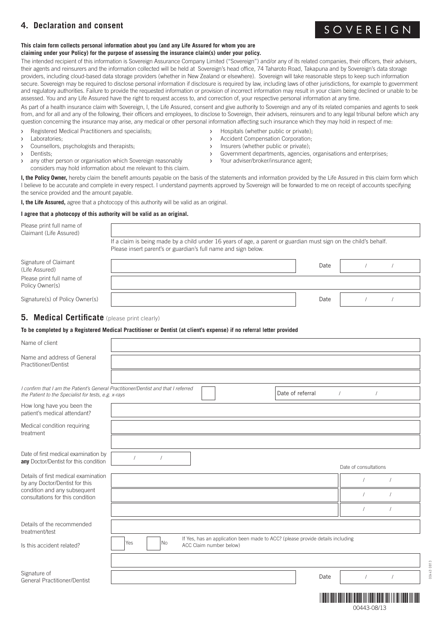# **4. Declaration and consent**

#### **This claim form collects personal information about you (and any Life Assured for whom you are claiming under your Policy) for the purpose of assessing the insurance claim(s) under your policy.**

The intended recipient of this information is Sovereign Assurance Company Limited ("Sovereign") and/or any of its related companies, their officers, their advisers, their agents and reinsurers and the information collected will be held at Sovereign's head office, 74 Taharoto Road, Takapuna and by Sovereign's data storage providers, including cloud-based data storage providers (whether in New Zealand or elsewhere). Sovereign will take reasonable steps to keep such information secure. Sovereign may be required to disclose personal information if disclosure is required by law, including laws of other jurisdictions, for example to government and regulatory authorities. Failure to provide the requested information or provision of incorrect information may result in your claim being declined or unable to be assessed. You and any Life Assured have the right to request access to, and correction of, your respective personal information at any time.

As part of a health insurance claim with Sovereign, I, the Life Assured, consent and give authority to Sovereign and any of its related companies and agents to seek from, and for all and any of the following, their officers and employees, to disclose to Sovereign, their advisers, reinsurers and to any legal tribunal before which any question concerning the insurance may arise, any medical or other personal information affecting such insurance which they may hold in respect of me:

- > Registered Medical Practitioners and specialists; > Bospitals (whether public or private);
- 
- > Counsellors, psychologists and therapists;  $\longrightarrow$  Insurers (whether public or private);
- 
- Dentists;<br>
any other person or organisation which Sovereign reasonably<br>
Your adviser/broker/insurance agent-<br>
Your adviser/broker/insurance agent-> any other person or organisation which Sovereign reasonably considers may hold information about me relevant to this claim.
- 
- > Laboratories;  $\longrightarrow$  Laboratories;
	-
	-
- 

**I, the Policy Owner,** hereby claim the benefit amounts payable on the basis of the statements and information provided by the Life Assured in this claim form which I believe to be accurate and complete in every respect. I understand payments approved by Sovereign will be forwarded to me on receipt of accounts specifying the service provided and the amount payable.

**I, the Life Assured,** agree that a photocopy of this authority will be valid as an original.

### **I agree that a photocopy of this authority will be valid as an original.**

| Please print full name of<br>Claimant (Life Assured) |                                                                                                                                                                                    |      |  |  |  |  |
|------------------------------------------------------|------------------------------------------------------------------------------------------------------------------------------------------------------------------------------------|------|--|--|--|--|
|                                                      | If a claim is being made by a child under 16 years of age, a parent or guardian must sign on the child's behalf.<br>Please insert parent's or guardian's full name and sign below. |      |  |  |  |  |
| Signature of Claimant<br>(Life Assured)              |                                                                                                                                                                                    | Date |  |  |  |  |
| Please print full name of<br>Policy Owner(s)         |                                                                                                                                                                                    |      |  |  |  |  |
| Signature(s) of Policy Owner(s)                      |                                                                                                                                                                                    | Date |  |  |  |  |

## **5. Medical Certificate** (please print clearly)

### **To be completed by a Registered Medical Practitioner or Dentist (at client's expense) if no referral letter provided**

| Name of client                                                                                                                             |     |           |                         |                                                                                |      |                       |  |
|--------------------------------------------------------------------------------------------------------------------------------------------|-----|-----------|-------------------------|--------------------------------------------------------------------------------|------|-----------------------|--|
| Name and address of General<br>Practitioner/Dentist                                                                                        |     |           |                         |                                                                                |      |                       |  |
|                                                                                                                                            |     |           |                         |                                                                                |      |                       |  |
| I confirm that I am the Patient's General Practitioner/Dentist and that I referred<br>the Patient to the Specialist for tests, e.g. x-rays |     |           |                         | Date of referral                                                               |      | $\prime$              |  |
| How long have you been the<br>patient's medical attendant?                                                                                 |     |           |                         |                                                                                |      |                       |  |
| Medical condition requiring<br>treatment                                                                                                   |     |           |                         |                                                                                |      |                       |  |
|                                                                                                                                            |     |           |                         |                                                                                |      |                       |  |
| Date of first medical examination by<br>any Doctor/Dentist for this condition                                                              |     |           |                         |                                                                                |      | Date of consultations |  |
| Details of first medical examination                                                                                                       |     |           |                         |                                                                                |      |                       |  |
| by any Doctor/Dentist for this                                                                                                             |     |           |                         |                                                                                |      |                       |  |
| condition and any subsequent<br>consultations for this condition                                                                           |     |           |                         |                                                                                |      |                       |  |
|                                                                                                                                            |     |           |                         |                                                                                |      |                       |  |
| Details of the recommended<br>treatment/test                                                                                               |     |           |                         |                                                                                |      |                       |  |
| Is this accident related?                                                                                                                  | Yes | <b>No</b> | ACC Claim number below) | If Yes, has an application been made to ACC? (please provide details including |      |                       |  |
|                                                                                                                                            |     |           |                         |                                                                                |      |                       |  |
| Signature of<br><b>General Practitioner/Dentist</b>                                                                                        |     |           |                         |                                                                                | Date |                       |  |
|                                                                                                                                            |     |           |                         |                                                                                |      |                       |  |

\*00443-08/13\* 00443-08/13

# SOVEREIGN